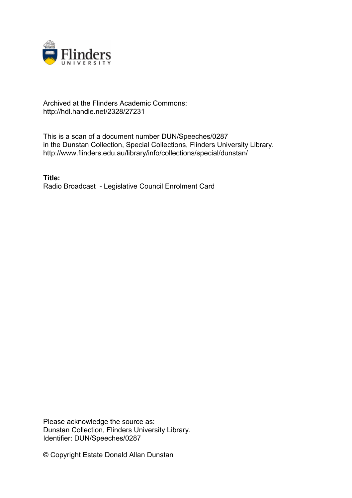

## Archived at the Flinders Academic Commons: http://hdl.handle.net/2328/27231

This is a scan of a document number DUN/Speeches/0287 in the Dunstan Collection, Special Collections, Flinders University Library. http://www.flinders.edu.au/library/info/collections/special/dunstan/

**Title:** Radio Broadcast - Legislative Council Enrolment Card

Please acknowledge the source as: Dunstan Collection, Flinders University Library. Identifier: DUN/Speeches/0287

© Copyright Estate Donald Allan Dunstan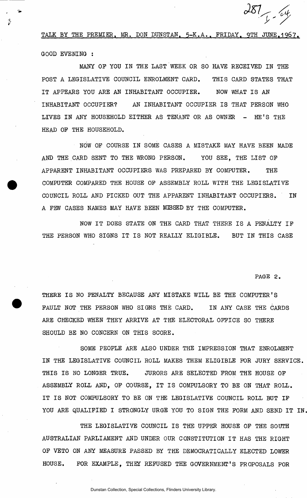TALK BY THE PREMIER, MR. DON DUNSTAN, 5-K.A., FRIDAY, 9TH JUNE.1967. GOOD EVENING :

MANY OP YOU IN THE LAST WEEK OR SO HAVE RECEIVED IN THE POST A LEGISLATIVE COUNCIL ENROLMENT CARD. THIS CARD STATES THAT IT APPEARS YOU ARE AN INHABITANT OCCUPIER. NOW WHAT IS AN INHABITANT OCCUPIER? AN INHABITANT OCCUPIER IS THAT PERSON WHO LIVES IN ANY HOUSEHOLD EITHER AS TENANT OR AS OWNER - HE'S THE HEAD OP THE HOUSEHOLD.

NOW OP COURSE IN SOME CASES A MISTAKE MAY HAVE BEEN MADE AND THE CARD SENT TO THE WRONG PERSON. YOU SEE. THE LIST OF APPARENT INHABITANT OCCUPIERS WAS PREPARED BY COMPUTER. THE COMPUTER COMPARED THE HOUSE OP ASSEMBLY ROLL WITH THE LEGISLATIVE COUNCIL ROLL AND PICKED OUT THE APPARENT INHABITANT OCCUPIERS. IN A PEW CASES NAMES MAY HAVE BEEN MUSSED BY THE COMPUTER.

NOW IT DOES STATE ON THE CARD THAT THERE IS A PENALTY IF THE PERSON WHO SIGNS IT IS NOT REALLY ELIGIBLE. BUT IN THIS CASE

**PAGE 2.** 

 $\frac{287}{1}$ 

THERE IS NO PENALTY BECAUSE ANY MISTAKE WILL BE THE COMPUTER'S FAULT NOT THE PERSON WHO SIGNS THE CARD. IN ANY CASE THE CARDS ARE CHECKED WHEN THEY ARRIVE AT THE ELECTORAL OFFICE SO THERE SHOULD BE NO CONCERN ON THIS SCORE.

SOME PEOPLE ARE ALSO UNDER THE IMPRESSION THAT ENROLMENT IN THE LEGISLATIVE COUNCIL ROLL MAKES THEM ELIGIBLE FOR JURY SERVICE. THIS IS NO LONGER TRUE. JURORS ARE SELECTED PROM THE HOUSE OP ASSEMBLY ROLL AND, OP COURSE, IT IS COMPULSORY TO BE ON THAT ROLL. IT IS NOT COMPULSORY TO BE ON THE LEGISLATIVE COUNCIL ROLL BUT IP YOU ARE QUALIFIED I STRONGLY URGE YOU TO SIGN THE FORM AND SEND IT IN.

THE LEGISLATIVE COUNCIL IS THE UPPER HOUSE OF THE SOUTH AUSTRALIAN PARLIAMENT AND UNDER OUR CONSTITUTION IT HAS THE RIGHT OP VETO ON ANY MEASURE PASSED BY THE DEMOCRATICALLY ELECTED LOWER HOUSE. FOR EXAMPLE, THEY REFUSED THE GOVERNMENT'S PROPOSALS FOR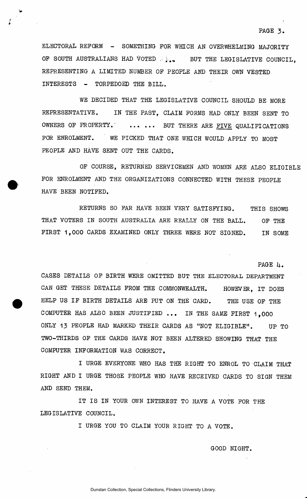PAGE 4.

ELECTORAL REFORM - SOMETHING FOR WHICH AN OVERWHELMING MAJORITY OF SOUTH AUSTRALIANS HAD VOTED  $\ldots$  BUT THE LEGISLATIVE COUNCIL. REPRESENTING A LIMITED NUMBER OF PEOPLE AND THEIR OWN VESTED INTERESTS - TORPEDOED THE BILL.

WE DECIDED THAT THE LEGISLATIVE COUNCIL SHOULD BE MORE REPRESENTATIVE. IN THE PAST, CLAIM FORMS HAD ONLY BEEN SENT TO OWNERS OF PROPERTY. ..... BUT THERE ARE FIVE QUALIFICATIONS FOR ENROLMENT. ' WE PICKED THAT ONE WHICH WOULD APPLY TO MOST PEOPLE AND HAVE SENT OUT THE CARDS.

OF COURSE, RETURNED SERVICEMEN AND WOMEN ARE ALSO ELIGIBLE FOR ENROLMENT AND THE ORGANIZATIONS CONNECTED WITH THESE PEOPLE HAVE BEEN NOTIFED.

RETURNS SO FAR HAVE BEEN VERY SATISFYING. THIS SHOWS THAT VOTERS IN SOUTH AUSTRALIA ARE REALLY ON THE BALL. OF THE FIRST 1,000 CARDS EXAMINED ONLY THREE WERE NOT SIGNED. IN SOME

CASES DETAILS OF BIRTH WERE OMITTED BUT THE ELECTORAL DEPARTMENT CAN GET THESE DETAILS FROM THE COMMONWEALTH. HOWEVER, IT DOES HELP US IF BIRTH DETAILS ARE PUT ON THE CARD. THE USE OF THE COMPUTER HAS ALSO BEEN JUSTIFIED ... IN THE SAME FIRST 1,000 ONLY 13 PEOPLE HAD MARKED THEIR CARDS AS "NOT ELIGIBLE". UP TO TWO-THIRDS OF THE CARDS HAVE NOT BEEN ALTERED SHOWING THAT THE COMPUTER INFORMATION WAS CORRECT.

I URGE EVERYONE WHO HAS THE RIGHT TO ENROL TO CLAIM THAT RIGHT AND I URGE THOSE PEOPLE WHO HAVE RECEIVED CARDS TO SIGN THEM AND SEND THEM.

IT IS IN YOUR OWN INTEREST TO HAVE A VOTE FOR THE LEGISLATIVE COUNCIL.

I URGE YOU TO CLAIM YOUR RIGHT TO A VOTE.

GOOD NIGHT.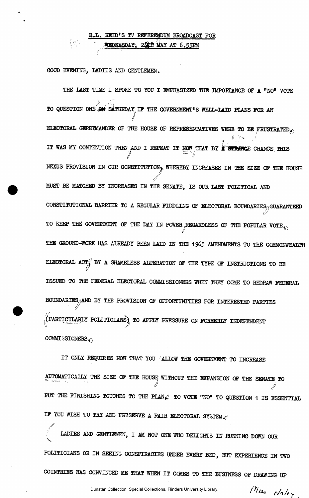## R.L. REID'S TV REFERENDUM BROADCAST FOR **WEDNESDAY, 2008 MAY AT 6.55PM**

**' V \*EDMBSDAY v 2(& S MA Y A T 6.55E M** 

GOOD EVENING, LADIES AND GENTLEMEN.

 $\mathcal{L} = \mathcal{L}$ 

THE LAST TIME I SPOKE TO YOU I EMPHASIZED THE IMPORTANCE OF A "NO" VOTE TO QUESTION ONE OF SATURDAY IF THE GOVERNMENT'S WELL-LAID PLANS FOR AN / ELECTORAL GERRYMANDER OF THE HOUSE OF REPRESENTATIVES WERE TO BE FRUSTRATED  $\hat{p}_i = \frac{1}{\sqrt{2\pi}} \sum_{i=1}^{n} p_i$ IT WAS MY CONTENTION THEN AND I REPEAT IT NOW THAT BY **I STRANCE** CHANCE THIS  **1**  NEXUS PROVISION IN OUR CONSTITUTION, WHEREBY INCREASES IN THE SIZE OF THE HOUSE MUST BE MATCHED BY INCREASES IN THE SENATE, IS OUR LAST POLITICAL AND CONSTITUTIONAL BARRIER TO A REGULAR FIDDLING OF ELECTORAL BOUNDARIES, GUARANTEED TO KEEP THE GOVERNMENT OF THE DAY IN POWER REGARDLESS OF THE POPULAR VOTE  $_{\odot}$ THE GROUND-WORK HAS ALREADY BEEN LAID IN THE 1965 AMENDMENTS TO THE COMMONWEALTH ELECTORAL ACT BY A SHAMELESS ALTERATION OF THE TYPE OF INSTRUCTIONS TO BE ISSUED TO THE FEDERAL ELECTORAL COMMISSIONERS WHEN THEY COME TO REDRAW FEDERAL BOUNDARIES AND BY THE PROVISION OF OPPORTUNITIES FOR INTERESTED PARTIES  $\beta$  $($  PARTICULARLY POLITICIANS $\big)$  TO APPLY PRESSURE ON FORMERLY INDEPENDENT COMMISSIONERS.

IT ONLY REQUIRES NOW THAT YOU CALLOW THE GOVERNMENT TO INCREASE AUTOMATICALLY THE SIZE OP THE HOUSE WITHOUT THE EXPANSION OP THE SENATE TO  $\sqrt{$  // PUT THE FINISHING TOUCHES TO THE PLAN $\varphi$  to vote "NO" to QUESTION 1 IS ESSENTIAL IF YOU WISH TO TRY AND PRESERVE A FAIR ELECTORAL SYSTEM  $\mathcal{O}$ 

LADIES AND GENTLEMEN, I AM NOT ONE WHO DELIGHTS IN RUNNING DOWN OUR ! LADIES AND GENTLEMEN, I AM NOT ONE WHO DELIGHTS IN RUNNING DOWN OUR

 $\overline{\mathcal{L}}$ 

Dunstan Collection, Special Collections, Flinders University Library.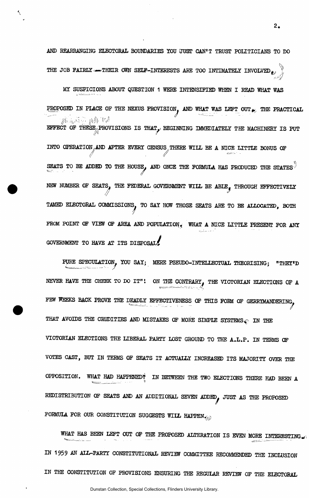AND REARRANGING ELECTORAL BOUNDARIES TOU JUST CAN'T TRUST POLITICIANS TO DO THE JOB FAIRLY - THEIR OWN SELF-INTERESTS ARE TOO INTIMATELY INVOLVED  $_{\ell^{\jmath}}$ *J* 

MI SUSPICIONS ABOUT QUESTION 1 WERE INTENSIFIED WHEN I READ WHAT WAS PROPOSED IN PLACE OF THE NEXUS PROVISION, AND WHAT WAS LEFT OUT  $_{\bullet}$ , THE PRACTICAL 孤魂运动 感形故 EFFECT OF THESE PROVISIONS IS THAT, BEGINNING IMMEDIATELY THE MACHINERY IS PUT *(A f*  INTO OPERATION AND AFTER EVERY CENSUS THERE WILL BE A NICE LITTLE BONUS OF SEATS TO BE ADDED TO THE HOUSE, AND ONCE THE FORMULA HAS PRODUCED THE STATES  $^\circ$  $\mathcal{L}$  -  $\mathcal{L}$   $\mathcal{L}$   $\mathcal{L}$   $\mathcal{L}$   $\mathcal{L}$   $\mathcal{L}$   $\mathcal{L}$   $\mathcal{L}$   $\mathcal{L}$   $\mathcal{L}$   $\mathcal{L}$   $\mathcal{L}$   $\mathcal{L}$   $\mathcal{L}$   $\mathcal{L}$   $\mathcal{L}$   $\mathcal{L}$   $\mathcal{L}$   $\mathcal{L}$   $\mathcal{L}$   $\mathcal{L}$   $\mathcal{L}$   $\mathcal{L}$   $\math$ NEW NUMBER OF SEATS, THE FEDERAL GOVERNMENT WILL BE ABLE. THROUGH EFFECTIVELY we comment when he sons  $\mathcal T$ FROM POINT OF VIEW OF AREA AND POPULATION, WHAT A NICE LITTLE PRESENT FOR ANY PROM POINT OF VIEW OF AREA AND POPULATION\*; WHAT A NICE LITTLE PRESENT FOR ANY GOVERNMENT TO HAVE AT ITS DISPOSAL!

FURE SPECULATION, YOU SAY; MERE PSEUDO-INTELLECTUAL THEORISING; "THEY'D PURE SPECULATION^ YOU SAY; MERE PSEUDO-INTELLECTUAL THEORISING; "THEY'D NEVER HAVE THE CHEEK TO DO IT"! ON THE CONTRARY, THE VICTORIAN ELECTIONS OF A FEW WEEKS BACK PROVE THE DEADLY EFFECTIVENESS OF THIS FORM OF GERRYMANDERING, THAT AVOIDS THE CRUDITIES AND MISTAKES OF MORE SIMPLE SYSTEMS  $\epsilon$  in the VICTORIAN ELECTIONS THE LIBERAL PARTY LOST GROUND TO THE A.L.P. IN TERMS OF VOTES CAST, BUT IN TERMS OF SEATS IT ACTUALLY INCREASED ITS MAJORITY OVER THE OPPOSITION. WHAT HAD HAPPENED? IN BETWEEN THE TWO ELECTIONS THERE HAD BEEN A REDISTRIBUTION OF SEATS AND AN ADDITIONAL SEVEN ADDED, JUST AS THE PROPOSED FORMULA FOR OUR CONSTITUTION SUGGESTS WILL HAPPEN  $_{\rm 40}$ 

WHAT HAS BEEN LEFT OUT OF THE PROPOSED ALTERATION IS EVEN MORE INTERESTING. WHAT JIAS BEEN LEFT OUT DE TAAL DIE DIE VAN DIE DIE VAN DIE VAN DIE VAN DIE VAN DIE VAN DIE VAN DIE VAN DIE VA<br>Gebeure IN THE CONSTITUTION OF PROVISIONS ENSURING THE REGULAR REVIEW OF THE ELECTORAL